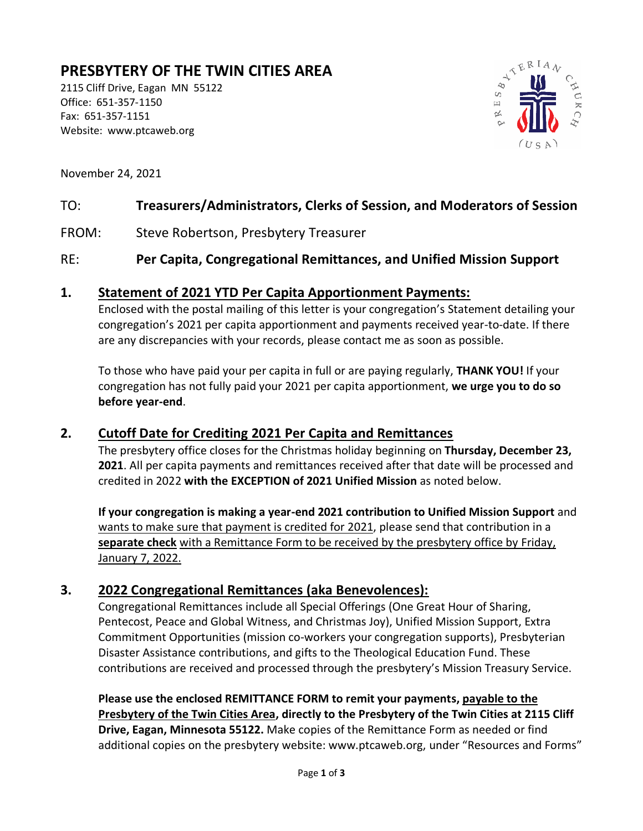# **PRESBYTERY OF THE TWIN CITIES AREA**

2115 Cliff Drive, Eagan MN 55122 Office: 651-357-1150 Fax: 651-357-1151 Website: www.ptcaweb.org



November 24, 2021

#### TO: **Treasurers/Administrators, Clerks of Session, and Moderators of Session**

FROM: Steve Robertson, Presbytery Treasurer

#### RE: **Per Capita, Congregational Remittances, and Unified Mission Support**

#### **1. Statement of 2021 YTD Per Capita Apportionment Payments:**

Enclosed with the postal mailing of this letter is your congregation's Statement detailing your congregation's 2021 per capita apportionment and payments received year-to-date. If there are any discrepancies with your records, please contact me as soon as possible.

To those who have paid your per capita in full or are paying regularly, **THANK YOU!** If your congregation has not fully paid your 2021 per capita apportionment, **we urge you to do so before year-end**.

#### **2. Cutoff Date for Crediting 2021 Per Capita and Remittances**

The presbytery office closes for the Christmas holiday beginning on **Thursday, December 23, 2021**. All per capita payments and remittances received after that date will be processed and credited in 2022 **with the EXCEPTION of 2021 Unified Mission** as noted below.

**If your congregation is making a year-end 2021 contribution to Unified Mission Support** and wants to make sure that payment is credited for 2021, please send that contribution in a **separate check** with a Remittance Form to be received by the presbytery office by Friday, January 7, 2022.

#### **3. 2022 Congregational Remittances (aka Benevolences):**

Congregational Remittances include all Special Offerings (One Great Hour of Sharing, Pentecost, Peace and Global Witness, and Christmas Joy), Unified Mission Support, Extra Commitment Opportunities (mission co-workers your congregation supports), Presbyterian Disaster Assistance contributions, and gifts to the Theological Education Fund. These contributions are received and processed through the presbytery's Mission Treasury Service.

**Please use the enclosed REMITTANCE FORM to remit your payments, payable to the Presbytery of the Twin Cities Area, directly to the Presbytery of the Twin Cities at 2115 Cliff Drive, Eagan, Minnesota 55122.** Make copies of the Remittance Form as needed or find additional copies on the presbytery website: www.ptcaweb.org, under "Resources and Forms"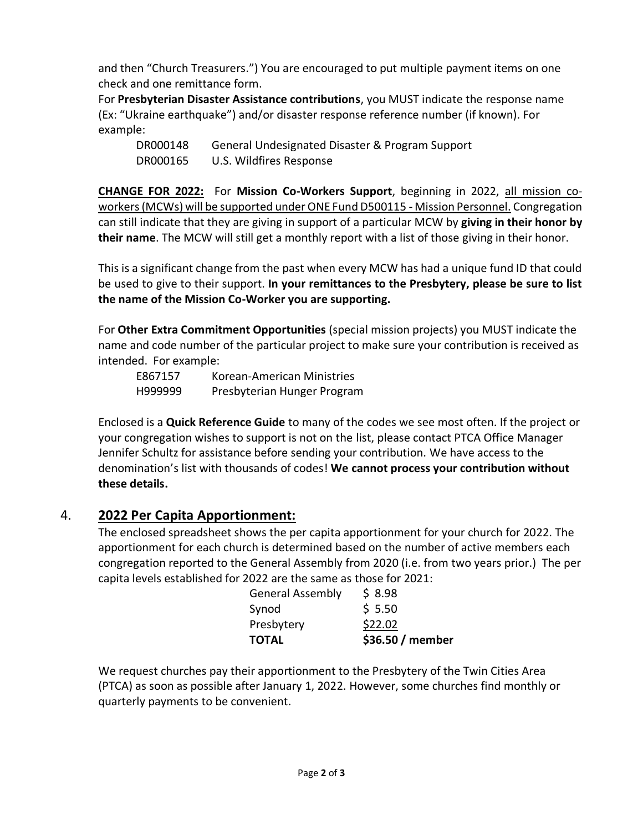and then "Church Treasurers.") You are encouraged to put multiple payment items on one check and one remittance form.

For **Presbyterian Disaster Assistance contributions**, you MUST indicate the response name (Ex: "Ukraine earthquake") and/or disaster response reference number (if known). For example:

DR000148 General Undesignated Disaster & Program Support DR000165 U.S. Wildfires Response

**CHANGE FOR 2022:** For **Mission Co-Workers Support**, beginning in 2022, all mission coworkers(MCWs) will be supported under ONE Fund D500115 - Mission Personnel. Congregation can still indicate that they are giving in support of a particular MCW by **giving in their honor by their name**. The MCW will still get a monthly report with a list of those giving in their honor.

This is a significant change from the past when every MCW has had a unique fund ID that could be used to give to their support. **In your remittances to the Presbytery, please be sure to list the name of the Mission Co-Worker you are supporting.**

For **Other Extra Commitment Opportunities** (special mission projects) you MUST indicate the name and code number of the particular project to make sure your contribution is received as intended. For example:

| E867157 | Korean-American Ministries  |
|---------|-----------------------------|
| H999999 | Presbyterian Hunger Program |

Enclosed is a **Quick Reference Guide** to many of the codes we see most often. If the project or your congregation wishes to support is not on the list, please contact PTCA Office Manager Jennifer Schultz for assistance before sending your contribution. We have access to the denomination's list with thousands of codes! **We cannot process your contribution without these details.**

## 4. **2022 Per Capita Apportionment:**

The enclosed spreadsheet shows the per capita apportionment for your church for 2022. The apportionment for each church is determined based on the number of active members each congregation reported to the General Assembly from 2020 (i.e. from two years prior.) The per capita levels established for 2022 are the same as those for 2021:

| <b>General Assembly</b> | \$8.98           |
|-------------------------|------------------|
| Synod                   | \$5.50           |
| Presbytery              | \$22.02          |
| <b>TOTAL</b>            | \$36.50 / member |

We request churches pay their apportionment to the Presbytery of the Twin Cities Area (PTCA) as soon as possible after January 1, 2022. However, some churches find monthly or quarterly payments to be convenient.